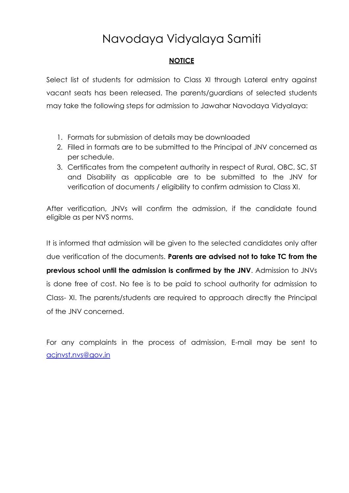# Navodaya Vidyalaya Samiti

## **NOTICE**

Select list of students for admission to Class XI through Lateral entry against vacant seats has been released. The parents/guardians of selected students may take the following steps for admission to Jawahar Navodaya Vidyalaya:

- 1. Formats for submission of details may be downloaded
- 2. Filled in formats are to be submitted to the Principal of JNV concerned as per schedule.
- 3. Certificates from the competent authority in respect of Rural, OBC, SC, ST and Disability as applicable are to be submitted to the JNV for verification of documents / eligibility to confirm admission to Class XI.

After verification, JNVs will confirm the admission, if the candidate found eligible as per NVS norms.

It is informed that admission will be given to the selected candidates only after due verification of the documents. **Parents are advised not to take TC from the previous school until the admission is confirmed by the JNV**. Admission to JNVs is done free of cost. No fee is to be paid to school authority for admission to Class- XI. The parents/students are required to approach directly the Principal of the JNV concerned.

For any complaints in the process of admission, E-mail may be sent to [acjnvst.nvs@gov.in](mailto:%20acjnvst.nvs@gov.i)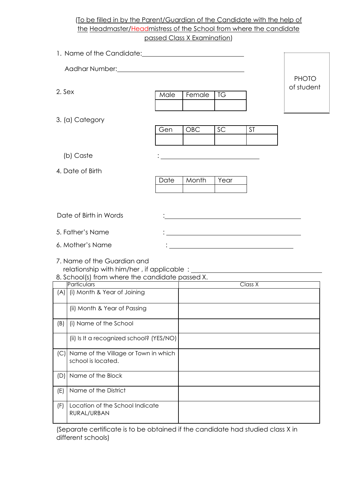(To be filled in by the Parent/Guardian of the Candidate with the help of the Headmaster/Headmistress of the School from where the candidate passed Class X Examination)

| 1. Name of the Candidate: 1. 2008 1. Name of the Candidate: |                                          |      |            |           |                                                                                                                      |              |
|-------------------------------------------------------------|------------------------------------------|------|------------|-----------|----------------------------------------------------------------------------------------------------------------------|--------------|
|                                                             |                                          |      |            |           |                                                                                                                      |              |
|                                                             |                                          |      |            |           |                                                                                                                      | <b>PHOTO</b> |
| 2. Sex                                                      |                                          | Male | Female     | <b>TG</b> |                                                                                                                      | of student   |
|                                                             |                                          |      |            |           |                                                                                                                      |              |
|                                                             | 3. (a) Category                          |      |            |           |                                                                                                                      |              |
|                                                             |                                          | Gen  | <b>OBC</b> | SC        | <b>ST</b>                                                                                                            |              |
|                                                             |                                          |      |            |           |                                                                                                                      |              |
|                                                             | (b) Caste                                |      |            |           |                                                                                                                      |              |
|                                                             | 4. Date of Birth                         |      |            |           |                                                                                                                      |              |
|                                                             |                                          | Date | Month      | Year      |                                                                                                                      |              |
|                                                             |                                          |      |            |           |                                                                                                                      |              |
|                                                             |                                          |      |            |           |                                                                                                                      |              |
|                                                             | Date of Birth in Words                   |      |            |           |                                                                                                                      |              |
|                                                             | 5. Father's Name                         |      |            |           |                                                                                                                      |              |
| 6. Mother's Name                                            |                                          |      |            |           | <u> 1989 - Johann Barn, mars ann an t-Amhain Aonaich an t-Aonaich an t-Aonaich ann an t-Aonaich ann an t-Aonaich</u> |              |
|                                                             | 7. Name of the Guardian and              |      |            |           |                                                                                                                      |              |
| 8. School(s) from where the candidate passed X.             |                                          |      |            |           |                                                                                                                      |              |
|                                                             | Particulars                              |      |            |           | Class X                                                                                                              |              |
|                                                             | (A) (i) Month & Year of Joining          |      |            |           |                                                                                                                      |              |
|                                                             | (ii) Month & Year of Passing             |      |            |           |                                                                                                                      |              |
| (B)                                                         | (i) Name of the School                   |      |            |           |                                                                                                                      |              |
|                                                             | (ii) Is It a recognized school? (YES/NO) |      |            |           |                                                                                                                      |              |
|                                                             | (C) Name of the Village or Town in which |      |            |           |                                                                                                                      |              |
|                                                             | school is located.                       |      |            |           |                                                                                                                      |              |
| Name of the Block<br>(D)                                    |                                          |      |            |           |                                                                                                                      |              |
| Name of the District<br>(E)                                 |                                          |      |            |           |                                                                                                                      |              |
| (F)                                                         | Location of the School Indicate          |      |            |           |                                                                                                                      |              |
|                                                             | RURAL/URBAN                              |      |            |           |                                                                                                                      |              |

(Separate certificate is to be obtained if the candidate had studied class X in different schools)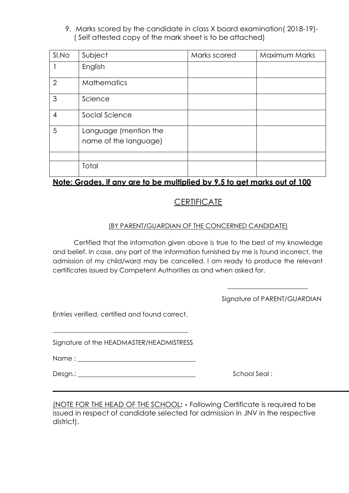9. Marks scored by the candidate in class X board examination( 2018-19)- ( Self attested copy of the mark sheet is to be attached)

| SI.No          | Subject                                        | Marks scored | Maximum Marks |
|----------------|------------------------------------------------|--------------|---------------|
|                | English                                        |              |               |
| $\overline{2}$ | <b>Mathematics</b>                             |              |               |
| 3              | Science                                        |              |               |
| $\overline{4}$ | Social Science                                 |              |               |
| 5              | Language (mention the<br>name of the language) |              |               |
|                |                                                |              |               |
|                | Total                                          |              |               |

## **Note: Grades, if any are to be multiplied by 9.5 to get marks out of 100**

## **CERTIFICATE**

### (BY PARENT/GUARDIAN OF THE CONCERNED CANDIDATE)

Certified that the information given above is true to the best of my knowledge and belief. In case, any part of the information furnished by me is found incorrect, the admission of my child/ward may be cancelled. I am ready to produce the relevant certificates issued by Competent Authorities as and when asked for.

Signature of PARENT/GUARDIAN

Entries verified, certified and found correct.

Signature of the HEADMASTER/HEADMISTRESS

Name :

Desgn.: <u>Change of the School Seal : School Seal : School Seal : School Seal : School Seal : School Seal : School Seal : School Seal : School Seal : School Seal : School Seal : School Seal : School Seal : School Seal : Sch</u>

(NOTE FOR THE HEAD OF THE SCHOOL**: -** Following Certificate is required tobe issued in respect of candidate selected for admission in JNV in the respective district).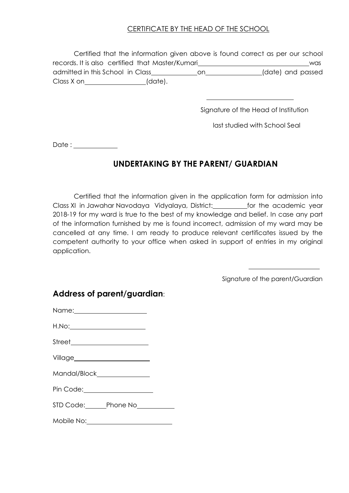### CERTIFICATE BY THE HEAD OF THE SCHOOL

| Certified that the information given above is found correct as per our school |         |     |                   |     |
|-------------------------------------------------------------------------------|---------|-----|-------------------|-----|
| records. It is also certified that Master/Kumari                              |         |     |                   | was |
| admitted in this School in Class                                              |         | on. | (date) and passed |     |
| Class X on                                                                    | (date). |     |                   |     |

Signature of the Head of Institution

last studied with School Seal

Date : \_\_\_\_\_\_\_\_\_\_\_

## **UNDERTAKING BY THE PARENT/ GUARDIAN**

Certified that the information given in the application form for admission into Class XI in Jawahar Navodaya Vidyalaya, District: \_\_\_\_\_\_\_\_\_\_for the academic year 2018-19 for my ward is true to the best of my knowledge and belief. In case any part of the information furnished by me is found incorrect, admission of my ward may be cancelled at any time. I am ready to produce relevant certificates issued by the competent authority to your office when asked in support of entries in my original application.

Signature of the parent/Guardian

| H.No:________________________         |  |
|---------------------------------------|--|
|                                       |  |
|                                       |  |
| Mandal/Block________________          |  |
| Pin Code: <u>____________________</u> |  |
| STD Code: Phone No                    |  |
|                                       |  |

### **Address of parent/guardian**: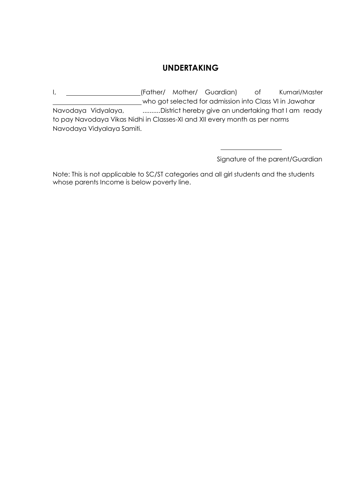## **UNDERTAKING**

I, 1. Mother/ Mother/ Guardian) of Kumari/Master who got selected for admission into Class VI in Jawahar Navodaya Vidyalaya, ...........District hereby give an undertaking that I am ready to pay Navodaya Vikas Nidhi in Classes-XI and XII every month as per norms Navodaya Vidyalaya Samiti.

Signature of the parent/Guardian

Note: This is not applicable to SC/ST categories and all girl students and the students whose parents Income is below poverty line.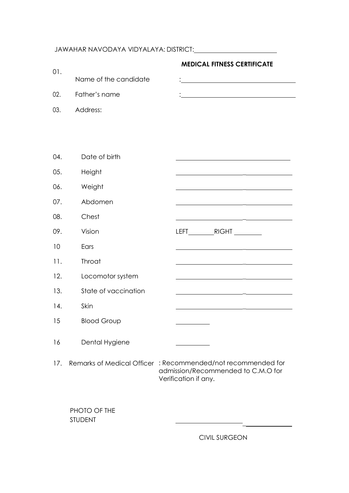## JAWAHAR NAVODAYA VIDYALAYA: DISTRICT:

| 01. |                                | <b>MEDICAL FITNESS CERTIFICATE</b>                                                                                         |
|-----|--------------------------------|----------------------------------------------------------------------------------------------------------------------------|
|     | Name of the candidate          |                                                                                                                            |
| 02. | Father's name                  |                                                                                                                            |
| 03. | Address:                       |                                                                                                                            |
|     |                                |                                                                                                                            |
|     |                                |                                                                                                                            |
| 04. | Date of birth                  |                                                                                                                            |
| 05. | Height                         |                                                                                                                            |
| 06. | Weight                         |                                                                                                                            |
| 07. | Abdomen                        |                                                                                                                            |
| 08. | Chest                          | <u> 1989 - John Harry Barn, amerikansk politiker (</u>                                                                     |
| 09. | Vision                         |                                                                                                                            |
| 10  | Ears                           |                                                                                                                            |
| 11. | Throat                         |                                                                                                                            |
| 12. | Locomotor system               | <u> 1989 - Andrea Andrew Amerikaanse kommunister († 1958)</u>                                                              |
| 13. | State of vaccination           |                                                                                                                            |
| 14. | Skin                           |                                                                                                                            |
| 15  | <b>Blood Group</b>             |                                                                                                                            |
| 16  | Dental Hygiene                 |                                                                                                                            |
| 17. |                                | Remarks of Medical Officer : Recommended/not recommended for<br>admission/Recommended to C.M.O for<br>Verification if any. |
|     | PHOTO OF THE<br><b>STUDENT</b> |                                                                                                                            |

CIVIL SURGEON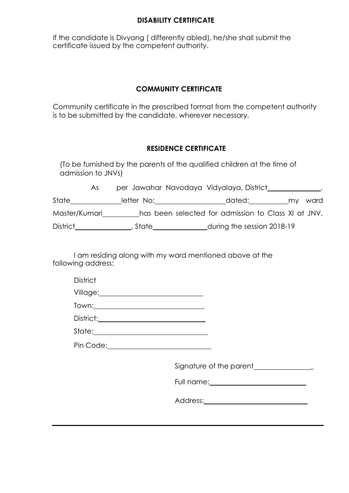#### **DISABILITY CERTIFICATE**

If the candidate is Divyang ( differently abled), he/she shall submit the certificate issued by the competent authority.

#### **COMMUNITY CERTIFICATE**

Community certificate in the prescribed format from the competent authority is to be submitted by the candidate, wherever necessary.

#### **RESIDENCE CERTIFICATE**

(To be furnished by the parents of the qualified children at the time of admission to JNVs)

|                 | As. |            | per Jawahar Navodaya Vidyalaya, District            |  |         |
|-----------------|-----|------------|-----------------------------------------------------|--|---------|
| State           |     | letter No: | dated:                                              |  | my ward |
| Master/Kumari   |     |            | has been selected for admission to Class XI at JNV, |  |         |
| <b>District</b> |     | . State    | during the session 2018-19                          |  |         |

I am residing along with my ward mentioned above at the following address:

| <b>District</b>                                                                                                                                                                                                                                                                                                                                                                                 |                                                               |
|-------------------------------------------------------------------------------------------------------------------------------------------------------------------------------------------------------------------------------------------------------------------------------------------------------------------------------------------------------------------------------------------------|---------------------------------------------------------------|
|                                                                                                                                                                                                                                                                                                                                                                                                 |                                                               |
| $\begin{tabular}{c} Town: \hspace{1.5cm} & \hspace{1.5cm} & \hspace{1.5cm} & \hspace{1.5cm} & \hspace{1.5cm} & \hspace{1.5cm} & \hspace{1.5cm} & \hspace{1.5cm} & \hspace{1.5cm} & \hspace{1.5cm} & \hspace{1.5cm} & \hspace{1.5cm} & \hspace{1.5cm} & \hspace{1.5cm} & \hspace{1.5cm} & \hspace{1.5cm} & \hspace{1.5cm} & \hspace{1.5cm} & \hspace{1.5cm} & \hspace{1.5cm} & \hspace{1.5cm} &$ |                                                               |
|                                                                                                                                                                                                                                                                                                                                                                                                 |                                                               |
|                                                                                                                                                                                                                                                                                                                                                                                                 |                                                               |
| Pin Code: <u>2000 - 2000 - 2000 - 2000 - 2000 - 2000 - 2000 - 2000 - 2000 - 2000 - 2000 - 2000 - 2000 - 2000 - 20</u>                                                                                                                                                                                                                                                                           |                                                               |
|                                                                                                                                                                                                                                                                                                                                                                                                 | Signature of the parent state of the parameters of the parent |
|                                                                                                                                                                                                                                                                                                                                                                                                 |                                                               |
|                                                                                                                                                                                                                                                                                                                                                                                                 |                                                               |
|                                                                                                                                                                                                                                                                                                                                                                                                 |                                                               |